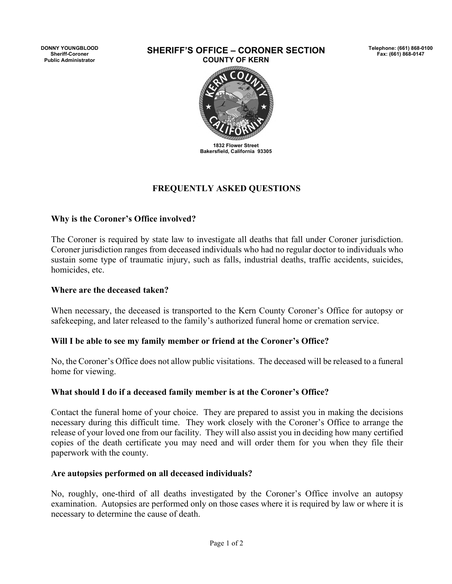**DONNY YOUNGBLOOD Sheriff-Coroner Public Administrator**

#### **SHERIFF'S OFFICE – CORONER SECTION COUNTY OF KERN**

**Telephone: (661) 868-0100 Fax: (661) 868-0147** 



# **FREQUENTLY ASKED QUESTIONS**

### **Why is the Coroner's Office involved?**

The Coroner is required by state law to investigate all deaths that fall under Coroner jurisdiction. Coroner jurisdiction ranges from deceased individuals who had no regular doctor to individuals who sustain some type of traumatic injury, such as falls, industrial deaths, traffic accidents, suicides, homicides, etc.

#### **Where are the deceased taken?**

When necessary, the deceased is transported to the Kern County Coroner's Office for autopsy or safekeeping, and later released to the family's authorized funeral home or cremation service.

### **Will I be able to see my family member or friend at the Coroner's Office?**

No, the Coroner's Office does not allow public visitations. The deceased will be released to a funeral home for viewing.

### **What should I do if a deceased family member is at the Coroner's Office?**

Contact the funeral home of your choice. They are prepared to assist you in making the decisions necessary during this difficult time. They work closely with the Coroner's Office to arrange the release of your loved one from our facility. They will also assist you in deciding how many certified copies of the death certificate you may need and will order them for you when they file their paperwork with the county.

### **Are autopsies performed on all deceased individuals?**

No, roughly, one-third of all deaths investigated by the Coroner's Office involve an autopsy examination. Autopsies are performed only on those cases where it is required by law or where it is necessary to determine the cause of death.